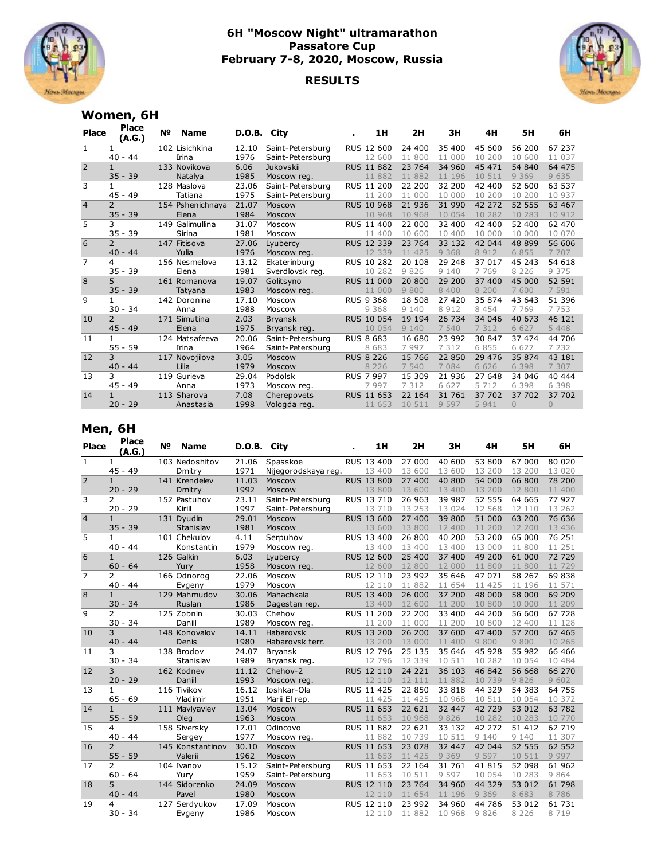

## **6H "Moscow Night" ultramarathon Passatore Cup February 7-8, 2020, Moscow, Russia**

## **RESULTS**



## **Women, 6H**

| <b>Place</b>   | <b>Place</b><br>(A.G.) | Nº  | <b>Name</b>      | D.O.B. City |                  | 1H                | 2H      | 3H      | 4H      | 5H       | 6H       |
|----------------|------------------------|-----|------------------|-------------|------------------|-------------------|---------|---------|---------|----------|----------|
| $\mathbf{1}$   |                        |     | 102 Lisichkina   | 12.10       | Saint-Petersburg | RUS 12 600        | 24 400  | 35 400  | 45 600  | 56 200   | 67 237   |
|                | $40 - 44$              |     | Irina            | 1976        | Saint-Petersburg | 12 600            | 11 800  | 11 000  | 10 200  | 10 600   | 11 037   |
| $\overline{2}$ |                        |     | 133 Novikova     | 6.06        | <b>Jukovskii</b> | <b>RUS 11 882</b> | 23 764  | 34 960  | 45 471  | 54 840   | 64 475   |
|                | $35 - 39$              |     | Natalya          | 1985        | Moscow reg.      | 11 882            | 11 882  | 11 196  | 10 511  | 9 3 6 9  | 9 6 3 5  |
| 3              | 1                      |     | 128 Maslova      | 23.06       | Saint-Petersburg | RUS 11 200        | 22 200  | 32 200  | 42 400  | 52 600   | 63 537   |
|                | $45 - 49$              |     | Tatiana          | 1975        | Saint-Petersburg | 11 200            | 11 000  | 10 000  | 10 200  | 10 200   | 10 937   |
| $\overline{4}$ | $\mathcal{P}$          |     | 154 Pshenichnaya | 21.07       | Moscow           | <b>RUS 10 968</b> | 21 936  | 31 990  | 42 272  | 52 555   | 63 467   |
|                | $35 - 39$              |     | Elena            | 1984        | Moscow           | 10 968            | 10 968  | 10 054  | 10 282  | 10 283   | 10 912   |
| 5              | 3                      | 149 | Galimullina      | 31.07       | Moscow           | RUS 11 400        | 22 000  | 32 400  | 42 400  | 52 400   | 62 470   |
|                | 39<br>$35 -$           |     | Sirina           | 1981        | Moscow           | 11 400            | 10 600  | 10 400  | 10 000  | 10 000   | 10 070   |
| $\overline{6}$ | $\overline{2}$         |     | 147 Fitisova     | 27.06       | Lyubercy         | RUS 12 339        | 23 764  | 33 132  | 42 044  | 48 899   | 56 606   |
|                | $40 - 44$              |     | Yulia            | 1976        | Moscow reg.      | 12 339            | 11 425  | 9 3 6 8 | 8 9 1 2 | 6 8 5 5  | 7 707    |
| $\overline{7}$ | 4                      |     | 156 Nesmelova    | 13.12       | Ekaterinburg     | RUS 10 282        | 20 108  | 29 248  | 37 017  | 45 243   | 54 618   |
|                | $35 - 39$              |     | Elena            | 1981        | Sverdlovsk reg.  | 10 282            | 9826    | 9 1 4 0 | 7 7 6 9 | 8 2 2 6  | 9 3 7 5  |
| 8              | 5                      |     | 161 Romanova     | 19.07       | Golitsyno        | RUS 11 000        | 20 800  | 29 200  | 37 400  | 45 000   | 52 591   |
|                | $35 - 39$              |     | Tatyana          | 1983        | Moscow reg.      | 11 000            | 9800    | 8 4 0 0 | 8 200   | 7600     | 7 5 9 1  |
| 9              | 1                      |     | 142 Doronina     | 17.10       | Moscow           | <b>RUS 9 368</b>  | 18 508  | 27 420  | 35 874  | 43 643   | 51 396   |
|                | 34<br>$30 -$           |     | Anna             | 1988        | Moscow           | 9 3 6 8           | 9 1 4 0 | 8 9 1 2 | 8 4 5 4 | 7 7 6 9  | 7 7 5 3  |
| 10             | $\overline{2}$         |     | 171 Simutina     | 2.03        | <b>Bryansk</b>   | <b>RUS 10 054</b> | 19 194  | 26 734  | 34 046  | 40 673   | 46 121   |
|                | $45 - 49$              |     | Elena            | 1975        | Bryansk reg.     | 10 054            | 9 1 4 0 | 7 540   | 7 3 1 2 | 6 6 2 7  | 5 4 4 8  |
| 11             | $\mathbf{1}$           |     | 124 Matsafeeva   | 20.06       | Saint-Petersburg | <b>RUS 8 683</b>  | 16 680  | 23 992  | 30 847  | 37 474   | 44 706   |
|                | $55 - 59$              |     | Irina            | 1964        | Saint-Petersburg | 8 6 8 3           | 7997    | 7 3 1 2 | 6 8 5 5 | 6 6 2 7  | 7 2 3 2  |
| 12             | 3                      |     | 117 Novojilova   | 3.05        | Moscow           | <b>RUS 8 226</b>  | 15 766  | 22 850  | 29 476  | 35 874   | 43 181   |
|                | $40 - 44$              |     | Lilia            | 1979        | <b>Moscow</b>    | 8 2 2 6           | 7 540   | 7 0 8 4 | 6 6 2 6 | 6 3 9 8  | 7 307    |
| 13             | 3                      |     | 119 Gurieva      | 29.04       | Podolsk          | RUS 7 997         | 15 309  | 21 936  | 27 648  | 34 046   | 40 444   |
|                | $45 - 49$              |     | Anna             | 1973        | Moscow reg.      | 7997              | 7 3 1 2 | 6 6 2 7 | 5 7 1 2 | 6 3 9 8  | 6 3 9 8  |
| 14             | $\mathbf{1}$           |     | 113 Sharova      | 7.08        | Cherepovets      | RUS 11 653        | 22 164  | 31 761  | 37 702  | 37 702   | 37 702   |
|                | $20 - 29$              |     | Anastasia        | 1998        | Vologda reg.     | 11 653            | 10 511  | 9 5 9 7 | 5 9 4 1 | $\Omega$ | $\Omega$ |

## **Men, 6H**

| Place          | <b>Place</b><br>(A.G.) | N <sub>2</sub> | <b>Name</b>      | <b>D.O.B.</b> | City                | 1H                | 2H     | 3H      | 4H      | 5H      | 6H      |
|----------------|------------------------|----------------|------------------|---------------|---------------------|-------------------|--------|---------|---------|---------|---------|
| $\mathbf{1}$   | 1                      |                | 103 Nedoshitov   | 21.06         | Spasskoe            | RUS 13 400        | 27 000 | 40 600  | 53 800  | 67 000  | 80 0 20 |
|                | $45 - 49$              |                | Dmitry           | 1971          | Nijegorodskaya reg. | 13 400            | 13 600 | 13 600  | 13 200  | 13 200  | 13 0 20 |
| $\overline{2}$ | $\mathbf{1}$           |                | 141 Krendelev    | 11.03         | Moscow              | <b>RUS 13 800</b> | 27 400 | 40 800  | 54 000  | 66 800  | 78 200  |
|                | $20 - 29$              |                | Dmitry           | 1992          | Moscow              | 13 800            | 13 600 | 13 400  | 13 200  | 12 800  | 11 400  |
| 3              | $\overline{2}$         |                | 152 Pastuhov     | 23.11         | Saint-Petersburg    | RUS 13 710        | 26 963 | 39 987  | 52 555  | 64 665  | 77 927  |
|                | $20 - 29$              |                | Kirill           | 1997          | Saint-Petersburg    | 13 710            | 13 253 | 13 0 24 | 12 568  | 12 110  | 13 262  |
| $\overline{4}$ | $\mathbf{1}$           |                | 131 Dyudin       | 29.01         | Moscow              | RUS 13 600        | 27 400 | 39 800  | 51 000  | 63 200  | 76 636  |
|                | $35 - 39$              |                | Stanislav        | 1981          | Moscow              | 13 600            | 13 800 | 12 400  | 11 200  | 12 200  | 13 4 36 |
| 5              | $\mathbf{1}$           |                | 101 Chekulov     | 4.11          | Serpuhov            | RUS 13 400        | 26 800 | 40 200  | 53 200  | 65 000  | 76 251  |
|                | $40 - 44$              |                | Konstantin       | 1979          | Moscow reg.         | 13 400            | 13 400 | 13 400  | 13 000  | 11 800  | 11 251  |
| 6              | $\mathbf{1}$           |                | 126 Galkin       | 6.03          | Lyubercy            | <b>RUS 12 600</b> | 25 400 | 37 400  | 49 200  | 61 000  | 72 729  |
|                | $60 - 64$              |                | Yury             | 1958          | Moscow reg.         | 12 600            | 12 800 | 12 000  | 11 800  | 11 800  | 11 729  |
| 7              | $\overline{2}$         |                | 166 Odnorog      | 22.06         | Moscow              | RUS 12 110        | 23 992 | 35 646  | 47 071  | 58 267  | 69838   |
|                | $40 - 44$              |                | Evgeny           | 1979          | Moscow              | 12 110            | 11 882 | 11 654  | 11 425  | 11 196  | 11 571  |
| 8              | $\mathbf{1}$           |                | 129 Mahmudov     | 30.06         | Mahachkala          | RUS 13 400        | 26 000 | 37 200  | 48 000  | 58 000  | 69 209  |
|                | $30 - 34$              |                | Ruslan           | 1986          | Dagestan rep.       | 13 400            | 12 600 | 11 200  | 10 800  | 10 000  | 11 209  |
| 9              | 2                      |                | 125 Zobnin       | 30.03         | Chehov              | RUS 11 200        | 22 200 | 33 400  | 44 200  | 56 600  | 67 728  |
|                | $30 - 34$              |                | Daniil           | 1989          | Moscow reg.         | 11 200            | 11 000 | 11 200  | 10 800  | 12 400  | 11 128  |
| 10             | 3                      |                | 148 Konovalov    | 14.11         | Habarovsk           | <b>RUS 13 200</b> | 26 200 | 37 600  | 47 400  | 57 200  | 67 465  |
|                | $40 - 44$              |                | Denis            | 1980          | Habarovsk terr.     | 13 200            | 13 000 | 11 400  | 9 8 0 0 | 9800    | 10 265  |
| 11             | 3                      |                | 138 Brodov       | 24.07         | <b>Bryansk</b>      | RUS 12 796        | 25 135 | 35 646  | 45 928  | 55 982  | 66 466  |
|                | $30 - 34$              |                | Stanislav        | 1989          | Bryansk reg.        | 12 796            | 12 339 | 10 511  | 10 282  | 10 054  | 10 484  |
| 12             | 3                      |                | 162 Kodnev       | 11.12         | Chehov-2            | <b>RUS 12 110</b> | 24 221 | 36 103  | 46 842  | 56 668  | 66 270  |
|                | $20 - 29$              |                | Daniil           | 1993          | Moscow reg.         | 12 110            | 12 111 | 11 882  | 10 739  | 9826    | 9 602   |
| 13             | $\mathbf{1}$           |                | 116 Tivikov      | 16.12         | Ioshkar-Ola         | RUS 11 425        | 22 850 | 33 818  | 44 329  | 54 383  | 64 755  |
|                | $65 - 69$              |                | Vladimir         | 1951          | Marii El rep.       | 11 425            | 11 425 | 10 968  | 10 511  | 10 054  | 10 372  |
| 14             | $\mathbf{1}$           |                | 111 Mavlyaviev   | 13.04         | Moscow              | RUS 11 653        | 22 621 | 32 447  | 42 729  | 53 012  | 63 782  |
|                | $55 - 59$              |                | Oleg             | 1963          | Moscow              | 11 653            | 10 968 | 9826    | 10 282  | 10 283  | 10 770  |
| 15             | 4                      |                | 158 Siversky     | 17.01         | Odincovo            | RUS 11 882        | 22 621 | 33 132  | 42 272  | 51 412  | 62 719  |
|                | $40 - 44$              |                | Sergey           | 1977          | Moscow reg.         | 11 882            | 10 739 | 10 511  | 9 1 4 0 | 9 1 4 0 | 11 307  |
| 16             | $\overline{2}$         |                | 145 Konstantinov | 30.10         | Moscow              | RUS 11 653        | 23 078 | 32 447  | 42 044  | 52 555  | 62 552  |
|                | $55 - 59$              |                | Valerii          | 1962          | Moscow              | 11 653            | 11 425 | 9 3 6 9 | 9 5 9 7 | 10 511  | 9 9 9 7 |
| 17             | 2                      |                | 104 Ivanov       | 15.12         | Saint-Petersburg    | RUS 11 653        | 22 164 | 31 761  | 41 815  | 52 098  | 61 962  |
|                | $60 - 64$              |                | Yury             | 1959          | Saint-Petersburg    | 11 653            | 10 511 | 9 5 9 7 | 10 054  | 10 283  | 9864    |
| 18             | 5                      |                | 144 Sidorenko    | 24.09         | Moscow              | <b>RUS 12 110</b> | 23 764 | 34 960  | 44 329  | 53 012  | 61 798  |
|                | $40 - 44$              |                | Pavel            | 1980          | Moscow              | 12 110            | 11 654 | 11 196  | 9 3 6 9 | 8 6 8 3 | 8786    |
| 19             | 4                      |                | 127 Serdyukov    | 17.09         | Moscow              | RUS 12 110        | 23 992 | 34 960  | 44 786  | 53 012  | 61 731  |
|                | $30 - 34$              |                | Evgeny           | 1986          | Moscow              | 12 110            | 11 882 | 10 968  | 9826    | 8 2 2 6 | 8 7 1 9 |
|                |                        |                |                  |               |                     |                   |        |         |         |         |         |